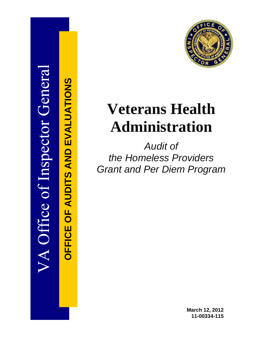

**OFFICE OF AUDITS AND EVALUATIONS**

**OFFICE OF AUDITS AND EVALUATIONS** 

# **Veterans Health Administration**

*Audit of the Homeless Providers Grant and Per Diem Program*

> **March 12, 2012 11-00334-115**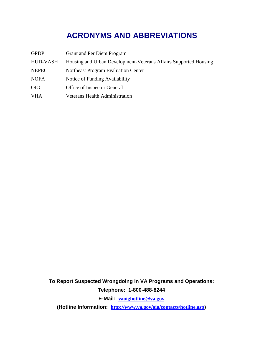## **ACRONYMS AND ABBREVIATIONS**

| <b>GPDP</b>     | <b>Grant and Per Diem Program</b>                                |
|-----------------|------------------------------------------------------------------|
| <b>HUD-VASH</b> | Housing and Urban Development-Veterans Affairs Supported Housing |
| <b>NEPEC</b>    | Northeast Program Evaluation Center                              |
| <b>NOFA</b>     | Notice of Funding Availability                                   |
| <b>OIG</b>      | Office of Inspector General                                      |
| <b>VHA</b>      | <b>Veterans Health Administration</b>                            |

**To Report Suspected Wrongdoing in VA Programs and Operations: Telephone: 1-800-488-8244**

**E-Mail: [vaoighotline@va.gov](mailto:vaoighotline@va.gov)**

**(Hotline Information: <http://www.va.gov/oig/contacts/hotline.asp>)**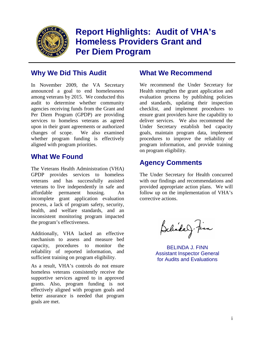

## **Report Highlights: Audit of VHA's Homeless Providers Grant and Per Diem Program**

## **Why We Did This Audit What We Recommend**

In November 2009, the VA Secretary announced a goal to end homelessness among veterans by 2015. We conducted this audit to determine whether community agencies receiving funds from the Grant and Per Diem Program (GPDP) are providing services to homeless veterans as agreed upon in their grant agreements or authorized changes of scope. We also examined whether program funding is effectively aligned with program priorities.

## **What We Found**

The Veterans Health Administration (VHA) GPDP provides services to homeless veterans and has successfully assisted veterans to live independently in safe and affordable permanent housing. An incomplete grant application evaluation process, a lack of program safety, security, health, and welfare standards, and an inconsistent monitoring program impacted the program's effectiveness.

Additionally, VHA lacked an effective mechanism to assess and measure bed capacity, procedures to monitor the reliability of reported information, and sufficient training on program eligibility.

As a result, VHA's controls do not ensure homeless veterans consistently receive the supportive services agreed to in approved grants. Also, program funding is not effectively aligned with program goals and better assurance is needed that program goals are met.

We recommend the Under Secretary for Health strengthen the grant application and evaluation process by publishing policies and standards, updating their inspection checklist, and implement procedures to ensure grant providers have the capability to deliver services. We also recommend the Under Secretary establish bed capacity goals, maintain program data, implement procedures to improve the reliability of program information, and provide training on program eligibility.

## **Agency Comments**

The Under Secretary for Health concurred with our findings and recommendations and provided appropriate action plans. We will follow up on the implementation of VHA's corrective actions.

Belindary. Finn

BELINDA J. FINN Assistant Inspector General for Audits and Evaluations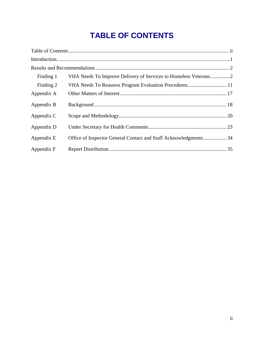## <span id="page-3-0"></span>**TABLE OF CONTENTS**

| Finding 1  | VHA Needs To Improve Delivery of Services to Homeless Veterans2  |
|------------|------------------------------------------------------------------|
| Finding 2  | VHA Needs To Reassess Program Evaluation Procedures11            |
| Appendix A |                                                                  |
| Appendix B |                                                                  |
| Appendix C |                                                                  |
| Appendix D |                                                                  |
| Appendix E | Office of Inspector General Contact and Staff Acknowledgments 34 |
| Appendix F |                                                                  |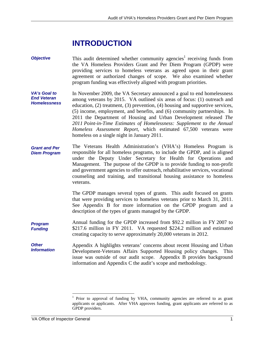## <span id="page-4-0"></span>**INTRODUCTION**

- *Objective*  This audit determined whether community agencies<sup>1</sup> receiving funds from the VA Homeless Providers Grant and Per Diem Program (GPDP) were providing services to homeless veterans as agreed upon in their grant agreement or authorized changes of scope. We also examined whether program funding was effectively aligned with program priorities.
- *VA's Goal to End Veteran Homelessness*  In November 2009, the VA Secretary announced a goal to end homelessness among veterans by 2015. VA outlined six areas of focus: (1) outreach and education, (2) treatment, (3) prevention, (4) housing and supportive services, (5) income, employment, and benefits, and (6) community partnerships. In 2011 the Department of Housing and Urban Development released *The 2011 Point-in-Time Estimates of Homelessness: Supplement to the Annual Homeless Assessment Report*, which estimated 67,500 veterans were homeless on a single night in January 2011.
- *Grant and Per Diem Program*  The Veterans Health Administration's (VHA's) Homeless Program is responsible for all homeless programs, to include the GPDP, and is aligned under the Deputy Under Secretary for Health for Operations and Management. The purpose of the GPDP is to provide funding to non-profit and government agencies to offer outreach, rehabilitative services, vocational counseling and training, and transitional housing assistance to homeless veterans.

The GPDP manages several types of grants. This audit focused on grants that were providing services to homeless veterans prior to March 31, 2011. See Appendix B for more information on the GPDP program and a description of the types of grants managed by the GPDP.

- *Program Funding*  Annual funding for the GPDP increased from \$92.2 million in FY 2007 to \$217.6 million in FY 2011. VA requested \$224.2 million and estimated creating capacity to serve approximately 20,000 veterans in 2012.
- *Other Information*  Appendix A highlights veterans' concerns about recent Housing and Urban Development-Veterans Affairs Supported Housing policy changes. This issue was outside of our audit scope. Appendix B provides background information and Appendix C the audit's scope and methodology.

<span id="page-4-2"></span><span id="page-4-1"></span><sup>1</sup> Prior to approval of funding by VHA, community agencies are referred to as grant applicants or applicants. After VHA approves funding, grant applicants are referred to as GPDP providers.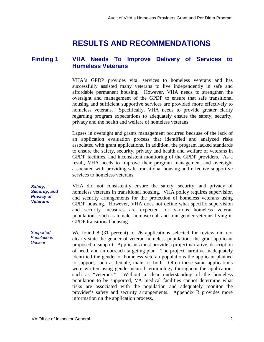## **RESULTS AND RECOMMENDATIONS**

#### <span id="page-5-0"></span>**Finding 1 VHA Needs To Improve Delivery of Services to Homeless Veterans**

VHA's GPDP provides vital services to homeless veterans and has successfully assisted many veterans to live independently in safe and affordable permanent housing. However, VHA needs to strengthen the oversight and management of the GPDP to ensure that safe transitional housing and sufficient supportive services are provided more effectively to homeless veterans. Specifically, VHA needs to provide greater clarity regarding program expectations to adequately ensure the safety, security, privacy and the health and welfare of homeless veterans.

Lapses in oversight and grants management occurred because of the lack of an application evaluation process that identified and analyzed risks associated with grant applications. In addition, the program lacked standards to ensure the safety, security, privacy and health and welfare of veterans in GPDP facilities, and inconsistent monitoring of the GPDP providers. As a result, VHA needs to improve their program management and oversight associated with providing safe transitional housing and effective supportive services to homeless veterans.

VHA did not consistently ensure the safety, security, and privacy of homeless veterans in transitional housing. VHA policy requires supervision and security arrangements for the protection of homeless veterans using GPDP housing. However, VHA does not define what specific supervision and security measures are expected for various homeless veteran populations, such as female, homosexual, and transgender veterans living in GPDP transitional housing.

We found 8 (31 percent) of 26 applications selected for review did not clearly state the gender of veteran homeless populations the grant applicant proposed to support. Applicants must provide a project narrative, description of need, and an outreach targeting plan. The project narrative inadequately identified the gender of homeless veteran populations the applicant planned to support, such as female, male, or both. Often these same applications were written using gender-neutral terminology throughout the application, such as "veterans." Without a clear understanding of the homeless population to be supported, VA medical facilities cannot determine what risks are associated with the population and adequately monitor the provider's safety and security arrangements. Appendix B provides more information on the application process.

*Safety, Security, and Privacy of Veterans* 

*Supported Populations Unclear*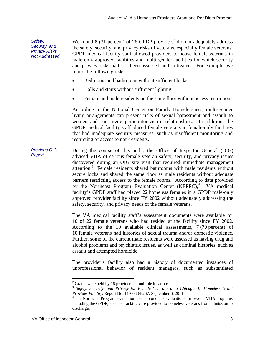*Safety, Security, and Privacy Risks Not Addressed*  We found 8 (31 percent) of 26 GPDP providers<sup>2</sup> did not adequately address the safety, security, and privacy risks of veterans, especially female veterans. GPDP medical facility staff allowed providers to house female veterans in male-only approved facilities and multi-gender facilities for which security and privacy risks had not been assessed and mitigated. For example, we found the following risks.

- Bedrooms and bathrooms without sufficient locks
- Halls and stairs without sufficient lighting
- Female and male residents on the same floor without access restrictions

According to the National Center on Family Homelessness, multi-gender living arrangements can present risks of sexual harassment and assault to women and can invite perpetrator-victim relationships. In addition, the GPDP medical facility staff placed female veterans in female-only facilities that had inadequate security measures, such as insufficient monitoring and restricting of access to non-residents.

*Previous OIG Report*  During the course of this audit, the Office of Inspector General (OIG) advised VHA of serious female veteran safety, security, and privacy issues discovered during an OIG site visit that required immediate management attention.<sup>3</sup> Female residents shared bathrooms with male residents without secure locks and shared the same floor as male residents without adequate barriers restricting access to the female rooms. According to data provided by the Northeast Program Evaluation Center (NEPEC), $4$  VA medical facility's GPDP staff had placed 22 homeless females in a GPDP male-only approved provider facility since FY 2002 without adequately addressing the safety, security, and privacy needs of the female veterans.

> The VA medical facility staff's assessment documents were available for 10 of 22 female veterans who had resided at the facility since FY 2002. According to the 10 available clinical assessments, 7 (70 percent) of 10 female veterans had histories of sexual trauma and/or domestic violence. Further, some of the current male residents were assessed as having drug and alcohol problems and psychiatric issues, as well as criminal histories, such as assault and attempted homicide.

> The provider's facility also had a history of documented instances of unprofessional behavior of resident managers, such as substantiated

<span id="page-6-1"></span><span id="page-6-0"></span> $2$  Grants were held by 16 providers at multiple locations.

<sup>3</sup>*Safety, Security, and Privacy for Female Veterans at a Chicago, IL Homeless Grant* 

<span id="page-6-2"></span>*Provider Facility*, Report No. 11-00334-267, September 6, 2011 <sup>4</sup> The Northeast Program Evaluation Center conducts evaluations for several VHA programs including the GPDP, such as tracking care provided to homeless veterans from admission to discharge.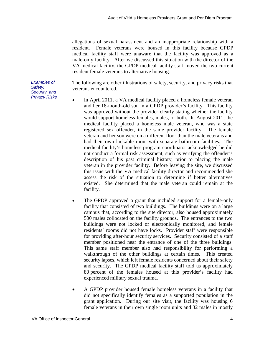allegations of sexual harassment and an inappropriate relationship with a resident. Female veterans were housed in this facility because GPDP medical facility staff were unaware that the facility was approved as a male-only facility. After we discussed this situation with the director of the VA medical facility, the GPDP medical facility staff moved the two current resident female veterans to alternative housing.

The following are other illustrations of safety, security, and privacy risks that veterans encountered.

- In April 2011, a VA medical facility placed a homeless female veteran and her 18-month-old son in a GPDP provider's facility. This facility was approved without the provider clearly stating whether the facility would support homeless females, males, or both. In August 2011, the medical facility placed a homeless male veteran, who was a state registered sex offender, in the same provider facility. The female veteran and her son were on a different floor than the male veterans and had their own lockable room with separate bathroom facilities. The medical facility's homeless program coordinator acknowledged he did not conduct a formal risk assessment, such as verifying the offender's description of his past criminal history, prior to placing the male veteran in the provider facility. Before leaving the site, we discussed this issue with the VA medical facility director and recommended she assess the risk of the situation to determine if better alternatives existed. She determined that the male veteran could remain at the facility.
- The GPDP approved a grant that included support for a female-only facility that consisted of two buildings. The buildings were on a large campus that, according to the site director, also housed approximately 500 males collocated on the facility grounds. The entrances to the two buildings were not locked or electronically monitored, and female residents' rooms did not have locks. Provider staff were responsible for providing after-hour security services. Security consisted of a staff member positioned near the entrance of one of the three buildings. This same staff member also had responsibility for performing a walkthrough of the other buildings at certain times. This created security lapses, which left female residents concerned about their safety and security. The GPDP medical facility staff told us approximately 80 percent of the females housed at this provider's facility had experienced military sexual trauma.
- A GPDP provider housed female homeless veterans in a facility that did not specifically identify females as a supported population in the grant application. During our site visit, the facility was housing 6 female veterans in their own single room units and 32 males in mostly

*Examples of Safety, Security, and Privacy Risks*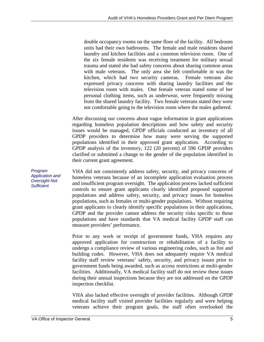double occupancy rooms on the same floor of the facility. All bedroom units had their own bathrooms. The female and male residents shared laundry and kitchen facilities and a common television room. One of the six female residents was receiving treatment for military sexual trauma and stated she had safety concerns about sharing common areas with male veterans. The only area she felt comfortable in was the kitchen, which had two security cameras. Female veterans also expressed privacy concerns with sharing laundry facilities and the television room with males. One female veteran stated some of her personal clothing items, such as underwear, were frequently missing from the shared laundry facility. Two female veterans stated they were not comfortable going to the television room where the males gathered.

After discussing our concerns about vague information in grant applications regarding homeless population descriptions and how safety and security issues would be managed, GPDP officials conducted an inventory of all GPDP providers to determine how many were serving the supported populations identified in their approved grant application. According to GPDP analysis of the inventory, 122 (20 percent) of 596 GPDP providers clarified or submitted a change to the gender of the population identified in their current grant agreement.

VHA did not consistently address safety, security, and privacy concerns of homeless veterans because of an incomplete application evaluation process and insufficient program oversight. The application process lacked sufficient controls to ensure grant applicants clearly identified proposed supported populations and address safety, security, and privacy issues for homeless populations, such as females or multi-gender populations. Without requiring grant applicants to clearly identify specific populations in their applications, GPDP and the provider cannot address the security risks specific to those populations and have standards that VA medical facility GPDP staff can measure providers' performance.

Prior to any work or receipt of government funds, VHA requires any approved application for construction or rehabilitation of a facility to undergo a compliance review of various engineering codes, such as fire and building codes. However, VHA does not adequately require VA medical facility staff review veterans' safety, security, and privacy issues prior to government funds being awarded, such as access restrictions at multi-gender facilities. Additionally, VA medical facility staff do not review these issues during their annual inspections because they are not addressed on the GPDP inspection checklist.

VHA also lacked effective oversight of provider facilities. Although GPDP medical facility staff visited provider facilities regularly and were helping veterans achieve their program goals, the staff often overlooked the

*Program Application and Oversight Not Sufficient*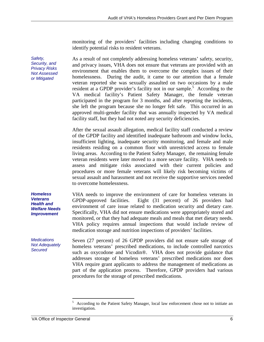monitoring of the providers' facilities including changing conditions to identify potential risks to resident veterans.

As a result of not completely addressing homeless veterans' safety, security, and privacy issues, VHA does not ensure that veterans are provided with an environment that enables them to overcome the complex issues of their homelessness. During the audit, it came to our attention that a female veteran reported she was sexually assaulted on two occasions by a male resident at a GPDP provider's facility not in our sample.<sup>5</sup> According to the VA medical facility's Patient Safety Manager, the female veteran participated in the program for 3 months, and after reporting the incidents, she left the program because she no longer felt safe. This occurred in an approved multi-gender facility that was annually inspected by VA medical facility staff, but they had not noted any security deficiencies.

After the sexual assault allegation, medical facility staff conducted a review of the GPDP facility and identified inadequate bathroom and window locks, insufficient lighting, inadequate security monitoring, and female and male residents residing on a common floor with unrestricted access to female living areas. According to the Patient Safety Manager, the remaining female veteran residents were later moved to a more secure facility. VHA needs to assess and mitigate risks associated with their current policies and procedures or more female veterans will likely risk becoming victims of sexual assault and harassment and not receive the supportive services needed to overcome homelessness.

VHA needs to improve the environment of care for homeless veterans in GPDP-approved facilities. Eight (31 percent) of 26 providers had environment of care issue related to medication security and dietary care. Specifically, VHA did not ensure medications were appropriately stored and monitored, or that they had adequate meals and meals that met dietary needs. VHA policy requires annual inspections that would include review of medication storage and nutrition inspections of providers' facilities.

Seven (27 percent) of 26 GPDP providers did not ensure safe storage of homeless veterans' prescribed medications, to include controlled narcotics such as oxycodone and Vicodin®. VHA does not provide guidance that addresses storage of homeless veterans' prescribed medications nor does VHA require grant applicants to address the management of medications as part of the application process. Therefore, GPDP providers had various procedures for the storage of prescribed medications.

*Safety, Security, and Privacy Risks Not Assessed or Mitigated* 

*Homeless Veterans Health and Welfare Needs Improvement* 

*Medications Not Adequately Secured* 

<span id="page-9-0"></span><sup>5</sup> According to the Patient Safety Manager, local law enforcement chose not to initiate an investigation.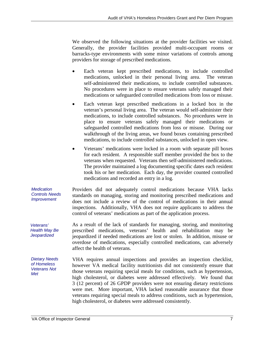We observed the following situations at the provider facilities we visited. Generally, the provider facilities provided multi-occupant rooms or barracks-type environments with some minor variations of controls among providers for storage of prescribed medications.

- Each veteran kept prescribed medications, to include controlled medications, unlocked in their personal living area. The veteran self-administered their medications, to include controlled substances. No procedures were in place to ensure veterans safely managed their medications or safeguarded controlled medications from loss or misuse.
- Each veteran kept prescribed medications in a locked box in the veteran's personal living area. The veteran would self-administer their medications, to include controlled substances. No procedures were in place to ensure veterans safely managed their medications or safeguarded controlled medications from loss or misuse. During our walkthrough of the living areas, we found boxes containing prescribed medications, to include controlled substances, unlocked in open view.
- Veterans' medications were locked in a room with separate pill boxes for each resident. A responsible staff member provided the box to the veterans when requested. Veterans then self-administered medications. The provider maintained a log documenting specific dates each resident took his or her medication. Each day, the provider counted controlled medications and recorded an entry in a log.

*Medication Controls Needs Improvement*  Providers did not adequately control medications because VHA lacks standards on managing, storing and monitoring prescribed medications and does not include a review of the control of medications in their annual inspections. Additionally, VHA does not require applicants to address the control of veterans' medications as part of the application process.

*Veterans' Health May Be Jeopardized*  As a result of the lack of standards for managing, storing, and monitoring prescribed medications, veterans' health and rehabilitation may be jeopardized if needed medications are lost or stolen. In addition, misuse or overdose of medications, especially controlled medications, can adversely affect the health of veterans.

*Dietary Needs of Homeless Veterans Not Met* 

VHA requires annual inspections and provides an inspection checklist, however VA medical facility nutritionists did not consistently ensure that those veterans requiring special meals for conditions, such as hypertension, high cholesterol, or diabetes were addressed effectively. We found that 3 (12 percent) of 26 GPDP providers were not ensuring dietary restrictions were met. More important, VHA lacked reasonable assurance that those veterans requiring special meals to address conditions, such as hypertension, high cholesterol, or diabetes were addressed consistently.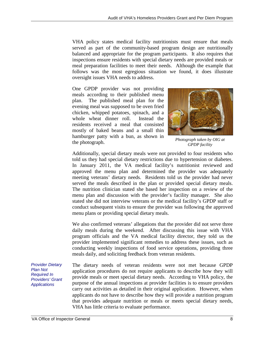VHA policy states medical facility nutritionists must ensure that meals served as part of the community-based program design are nutritionally balanced and appropriate for the program participants. It also requires that inspections ensure residents with special dietary needs are provided meals or meal preparation facilities to meet their needs. Although the example that follows was the most egregious situation we found, it does illustrate oversight issues VHA needs to address.

One GPDP provider was not providing meals according to their published menu plan. The published meal plan for the evening meal was supposed to be oven fried chicken, whipped potatoes, spinach, and a whole wheat dinner roll. Instead the residents received a meal that consisted mostly of baked beans and a small thin hamburger patty with a bun, as shown in *Photograph taken by OIG at* the photograph.



*GPDP facility*

Additionally, special dietary meals were not provided to four residents who told us they had special dietary restrictions due to hypertension or diabetes. In January 2011, the VA medical facility's nutritionist reviewed and approved the menu plan and determined the provider was adequately meeting veterans' dietary needs. Residents told us the provider had never served the meals described in the plan or provided special dietary meals. The nutrition clinician stated she based her inspection on a review of the menu plan and discussion with the provider's facility manager. She also stated she did not interview veterans or the medical facility's GPDP staff or conduct subsequent visits to ensure the provider was following the approved menu plans or providing special dietary meals.

We also confirmed veterans' allegations that the provider did not serve three daily meals during the weekend. After discussing this issue with VHA program officials and the VA medical facility director, they told us the provider implemented significant remedies to address these issues, such as conducting weekly inspections of food service operations, providing three meals daily, and soliciting feedback from veteran residents.

The dietary needs of veteran residents were not met because GPDP application procedures do not require applicants to describe how they will provide meals or meet special dietary needs. According to VHA policy, the purpose of the annual inspections at provider facilities is to ensure providers carry out activities as detailed in their original application. However, when applicants do not have to describe how they will provide a nutrition program that provides adequate nutrition or meals or meets special dietary needs, VHA has little criteria to evaluate performance. *Provider Dietary Plan Not Required In Providers' Grant Applications*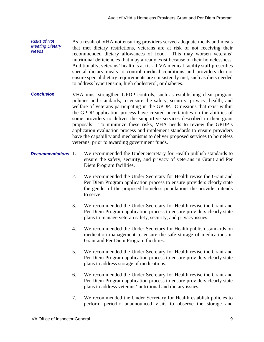- *Risks of Not Meeting Dietary Needs*  As a result of VHA not ensuring providers served adequate meals and meals that met dietary restrictions, veterans are at risk of not receiving their recommended dietary allowances of food. This may worsen veterans' nutritional deficiencies that may already exist because of their homelessness. Additionally, veterans' health is at risk if VA medical facility staff prescribes special dietary meals to control medical conditions and providers do not ensure special dietary requirements are consistently met, such as diets needed to address hypertension, high cholesterol, or diabetes.
- *Conclusion*  VHA must strengthen GPDP controls, such as establishing clear program policies and standards, to ensure the safety, security, privacy, health, and welfare of veterans participating in the GPDP. Omissions that exist within the GPDP application process have created uncertainties on the abilities of some providers to deliver the supportive services described in their grant proposals. To minimize these risks, VHA needs to review the GPDP's application evaluation process and implement standards to ensure providers have the capability and mechanisms to deliver proposed services to homeless veterans, prior to awarding government funds.
- *Recommendations*  We recommended the Under Secretary for Health publish standards to ensure the safety, security, and privacy of veterans in Grant and Per Diem Program facilities.
	- 2. We recommended the Under Secretary for Health revise the Grant and Per Diem Program application process to ensure providers clearly state the gender of the proposed homeless populations the provider intends to serve.
	- 3. We recommended the Under Secretary for Health revise the Grant and Per Diem Program application process to ensure providers clearly state plans to manage veteran safety, security, and privacy issues.
	- 4. We recommended the Under Secretary for Health publish standards on medication management to ensure the safe storage of medications in Grant and Per Diem Program facilities.
	- 5. We recommended the Under Secretary for Health revise the Grant and Per Diem Program application process to ensure providers clearly state plans to address storage of medications.
	- 6. We recommended the Under Secretary for Health revise the Grant and Per Diem Program application process to ensure providers clearly state plans to address veterans' nutritional and dietary issues.
	- 7. We recommended the Under Secretary for Health establish policies to perform periodic unannounced visits to observe the storage and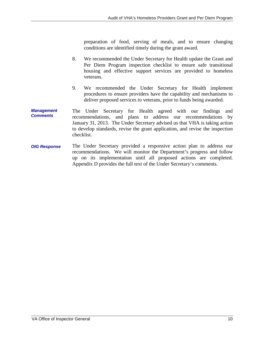preparation of food, serving of meals, and to ensure changing conditions are identified timely during the grant award.

- 8. We recommended the Under Secretary for Health update the Grant and Per Diem Program inspection checklist to ensure safe transitional housing and effective support services are provided to homeless veterans.
- 9. We recommended the Under Secretary for Health implement procedures to ensure providers have the capability and mechanisms to deliver proposed services to veterans, prior to funds being awarded.
- *Management Comments*  The Under Secretary for Health agreed with our findings and recommendations, and plans to address our recommendations by January 31, 2013. The Under Secretary advised us that VHA is taking action to develop standards, revise the grant application, and revise the inspection checklist.
- <span id="page-13-0"></span>*OIG Response*  The Under Secretary provided a responsive action plan to address our recommendations. We will monitor the Department's progress and follow up on its implementation until all proposed actions are completed. Appendix D provides the full text of the Under Secretary's comments.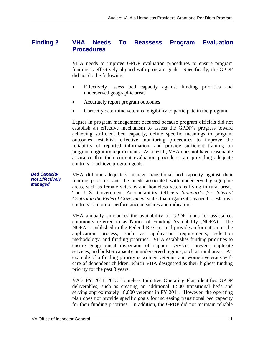#### **Finding 2 VHA Needs To Reassess Program Evaluation Procedures**

VHA needs to improve GPDP evaluation procedures to ensure program funding is effectively aligned with program goals. Specifically, the GPDP did not do the following.

- Effectively assess bed capacity against funding priorities and underserved geographic areas
- Accurately report program outcomes
- Correctly determine veterans' eligibility to participate in the program

Lapses in program management occurred because program officials did not establish an effective mechanism to assess the GPDP's progress toward achieving sufficient bed capacity, define specific meanings to program outcomes, establish effective monitoring procedures to improve the reliability of reported information, and provide sufficient training on program eligibility requirements. As a result, VHA does not have reasonable assurance that their current evaluation procedures are providing adequate controls to achieve program goals.

*Bed Capacity Not Effectively Managed*  VHA did not adequately manage transitional bed capacity against their funding priorities and the needs associated with underserved geographic areas, such as female veterans and homeless veterans living in rural areas. The U.S. Government Accountability Office's *Standards for Internal Control in the Federal Government* states that organizations need to establish controls to monitor performance measures and indicators.

> VHA annually announces the availability of GPDP funds for assistance, commonly referred to as Notice of Funding Availability (NOFA). The NOFA is published in the Federal Register and provides information on the application process, such as application requirements, selection methodology, and funding priorities. VHA establishes funding priorities to ensure geographical dispersion of support services, prevent duplicate services, and bolster capacity in underserved regions, such as rural areas. An example of a funding priority is women veterans and women veterans with care of dependent children, which VHA designated as their highest funding priority for the past 3 years.

> VA's FY 2011–2013 Homeless Initiative Operating Plan identifies GPDP deliverables, such as creating an additional 1,500 transitional beds and serving approximately 18,000 veterans in FY 2011. However, the operating plan does not provide specific goals for increasing transitional bed capacity for their funding priorities. In addition, the GPDP did not maintain reliable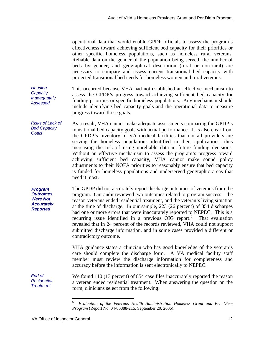operational data that would enable GPDP officials to assess the program's effectiveness toward achieving sufficient bed capacity for their priorities or other specific homeless populations, such as homeless rural veterans. Reliable data on the gender of the population being served, the number of beds by gender, and geographical description (rural or non-rural) are necessary to compare and assess current transitional bed capacity with projected transitional bed needs for homeless women and rural veterans.

*Housing Capacity Inadequately Assessed*  This occurred because VHA had not established an effective mechanism to assess the GPDP's progress toward achieving sufficient bed capacity for funding priorities or specific homeless populations. Any mechanism should include identifying bed capacity goals and the operational data to measure progress toward those goals.

*Risks of Lack of Bed Capacity Goals*  As a result, VHA cannot make adequate assessments comparing the GPDP's transitional bed capacity goals with actual performance. It is also clear from the GPDP's inventory of VA medical facilities that not all providers are serving the homeless populations identified in their applications, thus increasing the risk of using unreliable data in future funding decisions. Without an effective mechanism to assess the program's progress toward achieving sufficient bed capacity, VHA cannot make sound policy adjustments to their NOFA priorities to reasonably ensure that bed capacity is funded for homeless populations and underserved geographic areas that need it most.

*Program Outcomes Were Not Accurately Reported*  The GPDP did not accurately report discharge outcomes of veterans from the program. Our audit reviewed two outcomes related to program success—the reason veterans ended residential treatment, and the veteran's living situation at the time of discharge. In our sample, 223 (26 percent) of 854 discharges had one or more errors that were inaccurately reported to NEPEC. This is a recurring issue identified in a previous  $OIG$  report.<sup>6</sup> That evaluation revealed that in 24 percent of the records reviewed, VHA could not support submitted discharge information, and in some cases provided a different or contradictory outcome.

> VHA guidance states a clinician who has good knowledge of the veteran's care should complete the discharge form. A VA medical facility staff member must review the discharge information for completeness and accuracy before the information is sent electronically to NEPEC.

We found 110 (13 percent) of 854 case files inaccurately reported the reason a veteran ended residential treatment. When answering the question on the form, clinicians select from the following:

*End of Residential Treatment* 

<span id="page-15-0"></span><sup>6</sup>*Evaluation of the Veterans Health Administration Homeless Grant and Per Diem Program* (Report No. 04-00888-215, September 20, 2006).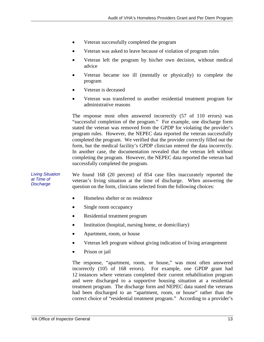- Veteran successfully completed the program
- Veteran was asked to leave because of violation of program rules
- Veteran left the program by his/her own decision, without medical advice
- Veteran became too ill (mentally or physically) to complete the program
- Veteran is deceased
- Veteran was transferred to another residential treatment program for administrative reasons

The response most often answered incorrectly (57 of 110 errors) was "successful completion of the program." For example, one discharge form stated the veteran was removed from the GPDP for violating the provider's program rules. However, the NEPEC data reported the veteran successfully completed the program. We verified that the provider correctly filled out the form, but the medical facility's GPDP clinician entered the data incorrectly. In another case, the documentation revealed that the veteran left without completing the program. However, the NEPEC data reported the veteran had successfully completed the program.

*Living Situation at Time of Discharge*  We found 168 (20 percent) of 854 case files inaccurately reported the veteran's living situation at the time of discharge. When answering the question on the form, clinicians selected from the following choices:

- Homeless shelter or no residence
- Single room occupancy
- Residential treatment program
- Institution (hospital, nursing home, or domiciliary)
- Apartment, room, or house
- Veteran left program without giving indication of living arrangement
- Prison or jail

The response, "apartment, room, or house," was most often answered incorrectly (105 of 168 errors). For example, one GPDP grant had 12 instances where veterans completed their current rehabilitation program and were discharged to a supportive housing situation at a residential treatment program. The discharge form and NEPEC data stated the veterans had been discharged to an "apartment, room, or house" rather than the correct choice of "residential treatment program." According to a provider's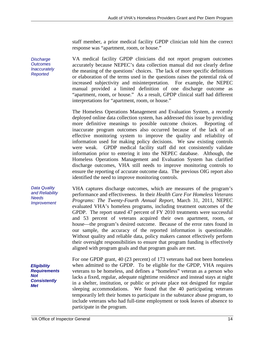staff member, a prior medical facility GPDP clinician told him the correct response was "apartment, room, or house."

VA medical facility GPDP clinicians did not report program outcomes accurately because NEPEC's data collection manual did not clearly define the meaning of the questions' choices. The lack of more specific definitions or elaboration of the terms used in the questions raises the potential risk of increased subjectivity and misinterpretation. For example, the NEPEC manual provided a limited definition of one discharge outcome as "apartment, room, or house." As a result, GPDP clinical staff had different interpretations for "apartment, room, or house."

The Homeless Operations Management and Evaluation System, a recently deployed online data collection system, has addressed this issue by providing more definitive meanings to possible outcome choices. Reporting of inaccurate program outcomes also occurred because of the lack of an effective monitoring system to improve the quality and reliability of information used for making policy decisions. We saw existing controls were weak. GPDP medical facility staff did not consistently validate information prior to entering it into the NEPEC database. Although, the Homeless Operations Management and Evaluation System has clarified discharge outcomes, VHA still needs to improve monitoring controls to ensure the reporting of accurate outcome data. The previous OIG report also identified the need to improve monitoring controls.

VHA captures discharge outcomes, which are measures of the program's performance and effectiveness. In their *Health Care For Homeless Veterans Programs: The Twenty-Fourth Annual Report*, March 31, 2011, NEPEC evaluated VHA's homeless programs, including treatment outcomes of the GPDP. The report stated 47 percent of FY 2010 treatments were successful and 53 percent of veterans acquired their own apartment, room, or house—the program's desired outcome. Because of the error rates found in our sample, the accuracy of the reported information is questionable. Without quality and reliable data, policy makers cannot effectively perform their oversight responsibilities to ensure that program funding is effectively aligned with program goals and that program goals are met.

*Eligibility Requirements Not Consistently Met* 

*Data Quality and Reliability* 

*Needs Improvement* 

> For one GPDP grant, 40 (23 percent) of 173 veterans had not been homeless when admitted to the GPDP. To be eligible for the GPDP, VHA requires veterans to be homeless, and defines a "homeless" veteran as a person who lacks a fixed, regular, adequate nighttime residence and instead stays at night in a shelter, institution, or public or private place not designed for regular sleeping accommodations. We found that the 40 participating veterans temporarily left their homes to participate in the substance abuse program, to include veterans who had full-time employment or took leaves of absence to participate in the program.

*Discharge Outcomes Inaccurately Reported*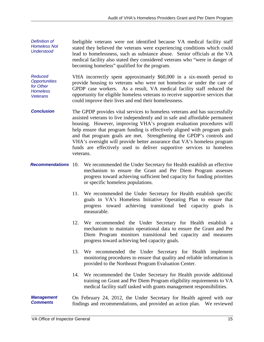- *Definition of Homeless Not Understood*  Ineligible veterans were not identified because VA medical facility staff stated they believed the veterans were experiencing conditions which could lead to homelessness, such as substance abuse. Senior officials at the VA medical facility also stated they considered veterans who "were in danger of becoming homeless" qualified for the program.
- *Reduced Opportunities for Other Homeless Veterans*  VHA incorrectly spent approximately \$60,000 in a six-month period to provide housing to veterans who were not homeless or under the care of GPDP case workers. As a result, VA medical facility staff reduced the opportunity for eligible homeless veterans to receive supportive services that could improve their lives and end their homelessness.
- *Conclusion*  The GPDP provides vital services to homeless veterans and has successfully assisted veterans to live independently and in safe and affordable permanent housing. However, improving VHA's program evaluation procedures will help ensure that program funding is effectively aligned with program goals and that program goals are met. Strengthening the GPDP's controls and VHA's oversight will provide better assurance that VA's homeless program funds are effectively used to deliver supportive services to homeless veterans.
- **Recommendations** 10. We recommended the Under Secretary for Health establish an effective mechanism to ensure the Grant and Per Diem Program assesses progress toward achieving sufficient bed capacity for funding priorities or specific homeless populations.
	- 11. We recommended the Under Secretary for Health establish specific goals in VA's Homeless Initiative Operating Plan to ensure that progress toward achieving transitional bed capacity goals is measurable.
	- 12. We recommended the Under Secretary for Health establish a mechanism to maintain operational data to ensure the Grant and Per Diem Program monitors transitional bed capacity and measures progress toward achieving bed capacity goals.
	- 13. We recommended the Under Secretary for Health implement monitoring procedures to ensure that quality and reliable information is provided to the Northeast Program Evaluation Center.
	- 14. We recommended the Under Secretary for Health provide additional training on Grant and Per Diem Program eligibility requirements to VA medical facility staff tasked with grants management responsibilities.

*Management Comments*  On February 24, 2012, the Under Secretary for Health agreed with our findings and recommendations, and provided an action plan. We reviewed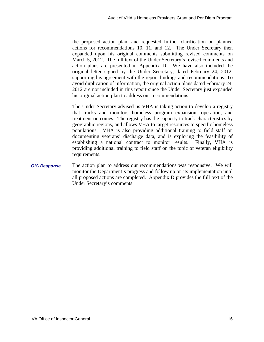the proposed action plan, and requested further clarification on planned actions for recommendations 10, 11, and 12. The Under Secretary then expanded upon his original comments submitting revised comments on March 5, 2012. The full text of the Under Secretary's revised comments and action plans are presented in Appendix D. We have also included the original letter signed by the Under Secretary, dated February 24, 2012, supporting his agreement with the report findings and recommendations. To avoid duplication of information, the original action plans dated February 24, 2012 are not included in this report since the Under Secretary just expanded his original action plan to address our recommendations.

The Under Secretary advised us VHA is taking action to develop a registry that tracks and monitors homeless program expansion, operation, and treatment outcomes. The registry has the capacity to track characteristics by geographic regions, and allows VHA to target resources to specific homeless populations. VHA is also providing additional training to field staff on documenting veterans' discharge data, and is exploring the feasibility of establishing a national contract to monitor results. Finally, VHA is providing additional training to field staff on the topic of veteran eligibility requirements.

<span id="page-19-0"></span>*OIG Response*  The action plan to address our recommendations was responsive. We will monitor the Department's progress and follow up on its implementation until all proposed actions are completed. Appendix D provides the full text of the Under Secretary's comments.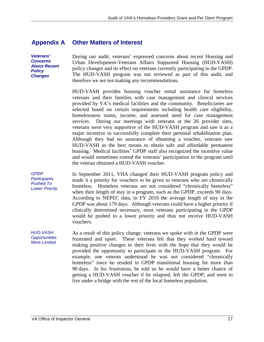#### **Appendix A Other Matters of Interest**

*Veterans' Concerns About Recent Policy Changes* 

During our audit, veterans' expressed concerns about recent Housing and Urban Development-Veterans Affairs Supported Housing (HUD-VASH) policy changes and its effect on veterans currently participating in the GPDP. The HUD-VASH program was not reviewed as part of this audit, and therefore we are not making any recommendations.

HUD-VASH provides housing voucher rental assistance for homeless veterans and their families with case management and clinical services provided by VA's medical facilities and the community. Beneficiaries are selected based on certain requirements including health care eligibility, homelessness status, income, and assessed need for case management services. During our meetings with veterans at the 26 provider sites, veterans were very supportive of the HUD-VASH program and saw it as a major incentive to successfully complete their personal rehabilitation plan. Although they had no assurance of obtaining a voucher, veterans saw HUD-VASH as the best means to obtain safe and affordable permanent housing. Medical facilities' GPDP staff also recognized the incentive value and would sometimes extend the veterans' participation in the program until the veteran obtained a HUD-VASH voucher.

*GPDP Participants Pushed To Lower Priority* 

<span id="page-20-0"></span>In September 2011, VHA changed their HUD-VASH program policy and made it a priority for vouchers to be given to veterans who are chronically homeless. Homeless veterans are not considered "chronically homeless" when their length of stay in a program, such as the GPDP, exceeds 90 days. According to NEPEC data, in FY 2010 the average length of stay in the GPDP was about 179 days. Although veterans could have a higher priority if clinically determined necessary, most veterans participating in the GPDP would be pushed to a lower priority and thus not receive HUD-VASH vouchers.

*HUD-VASH Opportunities More Limited*  As a result of this policy change, veterans we spoke with in the GPDP were frustrated and upset. These veterans felt that they worked hard toward making positive changes to their lives with the hope that they would be provided the opportunity to participate in the HUD-VASH program. For example, one veteran understood he was not considered "chronically homeless" since he resided in GPDP transitional housing for more than 90 days. In his frustration, he told us he would have a better chance of getting a HUD-VASH voucher if he relapsed, left the GPDP, and went to live under a bridge with the rest of the local homeless population.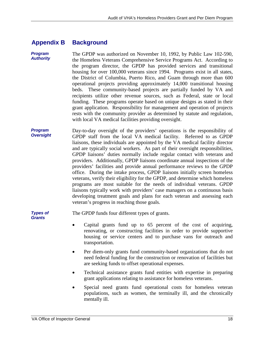#### **Appendix B Background**

*Program Authority*  The GPDP was authorized on November 10, 1992, by Public Law 102-590, the Homeless Veterans Comprehensive Service Programs Act. According to the program director, the GPDP has provided services and transitional housing for over 100,000 veterans since 1994. Programs exist in all states, the District of Columbia, Puerto Rico, and Guam through more than 600 operational projects providing approximately 14,000 transitional housing beds. These community-based projects are partially funded by VA and recipients utilize other revenue sources, such as Federal, state or local funding. These programs operate based on unique designs as stated in their grant application. Responsibility for management and operation of projects rests with the community provider as determined by statute and regulation, with local VA medical facilities providing oversight.

*Program Oversight*  Day-to-day oversight of the providers' operations is the responsibility of GPDP staff from the local VA medical facility. Referred to as GPDP liaisons, these individuals are appointed by the VA medical facility director and are typically social workers. As part of their oversight responsibilities, GPDP liaisons' duties normally include regular contact with veterans and providers. Additionally, GPDP liaisons coordinate annual inspections of the providers' facilities and provide annual performance reviews to the GPDP office. During the intake process, GPDP liaisons initially screen homeless veterans, verify their eligibility for the GPDP, and determine which homeless programs are most suitable for the needs of individual veterans. GPDP liaisons typically work with providers' case managers on a continuous basis developing treatment goals and plans for each veteran and assessing each veteran's progress in reaching those goals.

*Types of Grants* 

The GPDP funds four different types of grants.

- Capital grants fund up to 65 percent of the cost of acquiring, renovating, or constructing facilities in order to provide supportive housing or service centers and to purchase vans for outreach and transportation.
- Per diem-only grants fund community-based organizations that do not need federal funding for the construction or renovation of facilities but are seeking funds to offset operational expenses.
- Technical assistance grants fund entities with expertise in preparing grant applications relating to assistance for homeless veterans.
- Special need grants fund operational costs for homeless veteran populations, such as women, the terminally ill, and the chronically mentally ill.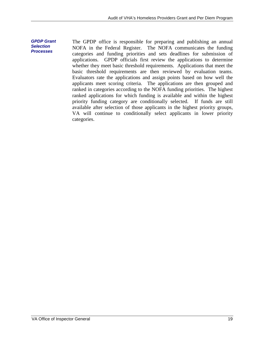*GPDP Grant*  The GPDP office is responsible for preparing and publishing an annual NOFA in the Federal Register. The NOFA communicates the funding categories and funding priorities and sets deadlines for submission of applications. GPDP officials first review the applications to determine whether they meet basic threshold requirements. Applications that meet the basic threshold requirements are then reviewed by evaluation teams. Evaluators rate the applications and assign points based on how well the applicants meet scoring criteria. The applications are then grouped and ranked in categories according to the NOFA funding priorities. The highest ranked applications for which funding is available and within the highest priority funding category are conditionally selected. If funds are still available after selection of those applicants in the highest priority groups, VA will continue to conditionally select applicants in lower priority categories.

<span id="page-22-0"></span>*Selection Processes*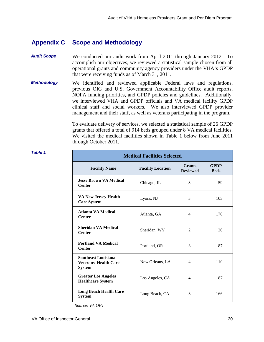#### **Appendix C Scope and Methodology**

- *Audit Scope*  We conducted our audit work from April 2011 through January 2012. To accomplish our objectives, we reviewed a statistical sample chosen from all operational grants and community agency providers under the VHA's GPDP that were receiving funds as of March 31, 2011.
- *Methodology*  We identified and reviewed applicable Federal laws and regulations, previous OIG and U.S. Government Accountability Office audit reports, NOFA funding priorities, and GPDP policies and guidelines. Additionally, we interviewed VHA and GPDP officials and VA medical facility GPDP clinical staff and social workers. We also interviewed GPDP provider management and their staff, as well as veterans participating in the program.

To evaluate delivery of services, we selected a statistical sample of 26 GPDP grants that offered a total of 914 beds grouped under 8 VA medical facilities. We visited the medical facilities shown in Table 1 below from June 2011 through October 2011.

| <b>Medical Facilities Selected</b>                                         |                          |                                  |                            |
|----------------------------------------------------------------------------|--------------------------|----------------------------------|----------------------------|
| <b>Facility Name</b>                                                       | <b>Facility Location</b> | <b>Grants</b><br><b>Reviewed</b> | <b>GPDP</b><br><b>Beds</b> |
| <b>Jesse Brown VA Medical</b><br><b>Center</b>                             | Chicago, IL              | 3                                | 59                         |
| <b>VA New Jersey Health</b><br><b>Care System</b>                          | Lyons, NJ                | 3                                | 103                        |
| <b>Atlanta VA Medical</b><br><b>Center</b>                                 | Atlanta, GA              | $\overline{4}$                   | 176                        |
| <b>Sheridan VA Medical</b><br><b>Center</b>                                | Sheridan, WY             | $\overline{2}$                   | 26                         |
| <b>Portland VA Medical</b><br><b>Center</b>                                | Portland, OR             | 3                                | 87                         |
| <b>Southeast Louisiana</b><br><b>Veterans Health Care</b><br><b>System</b> | New Orleans, LA          | $\overline{4}$                   | 110                        |
| <b>Greater Los Angeles</b><br><b>Healthcare System</b>                     | Los Angeles, CA          | $\overline{4}$                   | 187                        |
| <b>Long Beach Health Care</b><br><b>System</b>                             | Long Beach, CA           | 3                                | 166                        |

#### *Table 1*

*Source: VA OIG*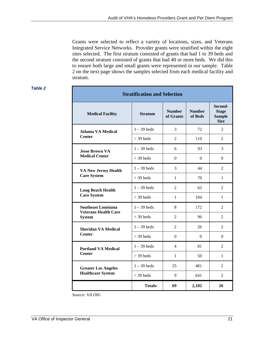Grants were selected to reflect a variety of locations, sizes, and Veterans Integrated Service Networks. Provider grants were stratified within the eight sites selected. The first stratum consisted of grants that had 1 to 39 beds and the second stratum consisted of grants that had 40 or more beds. We did this to ensure both large and small grants were represented in our sample. Table 2 on the next page shows the samples selected from each medical facility and stratum.

#### *Table 2*

| <b>Stratification and Selection</b>                       |                |                            |                          |                                                         |
|-----------------------------------------------------------|----------------|----------------------------|--------------------------|---------------------------------------------------------|
| <b>Medical Facility</b>                                   | <b>Stratum</b> | <b>Number</b><br>of Grants | <b>Number</b><br>of Beds | Second-<br><b>Stage</b><br><b>Sample</b><br><b>Size</b> |
| <b>Atlanta VA Medical</b>                                 | $1 - 39$ beds  | 3                          | 72                       | $\mathfrak{D}$                                          |
| <b>Center</b>                                             | $>$ 39 beds    | $\overline{2}$             | 110                      | 2                                                       |
| <b>Jesse Brown VA</b>                                     | $1 - 39$ beds  | 6                          | 93                       | 3                                                       |
| <b>Medical Center</b>                                     | $>$ 39 beds    | $\Omega$                   | $\Omega$                 | $\Omega$                                                |
| <b>VA New Jersey Health</b>                               | $1 - 39$ beds  | 3                          | 44                       | 2                                                       |
| <b>Care System</b>                                        | $>$ 39 beds    | $\mathbf{1}$               | 70                       | 1                                                       |
| <b>Long Beach Health</b>                                  | $1 - 39$ beds  | 2                          | 62                       | 2                                                       |
| <b>Care System</b>                                        | $>$ 39 beds    | 1                          | 104                      | 1                                                       |
| <b>Southeast Louisiana</b><br><b>Veterans Health Care</b> | $1 - 39$ beds  | 8                          | 172                      | 2                                                       |
| <b>System</b>                                             | $>$ 39 beds    | $\overline{2}$             | 96                       | 2                                                       |
| <b>Sheridan VA Medical</b>                                | $1 - 39$ beds  | 2                          | 26                       | 2                                                       |
| <b>Center</b>                                             | $>$ 39 beds    | $\Omega$                   | $\Omega$                 | $\Omega$                                                |
| <b>Portland VA Medical</b>                                | $1 - 39$ beds  | 4                          | 81                       | 2                                                       |
| <b>Center</b>                                             | $>$ 39 beds    | 1                          | 50                       | 1                                                       |
| <b>Greater Los Angeles</b>                                | $1 - 39$ beds  | 25                         | 481                      | $\overline{2}$                                          |
| <b>Healthcare System</b>                                  | $>$ 39 beds    | 9                          | 641                      | 2                                                       |
|                                                           | <b>Totals:</b> | 69                         | 2,102                    | 26                                                      |

*Source: VA OIG*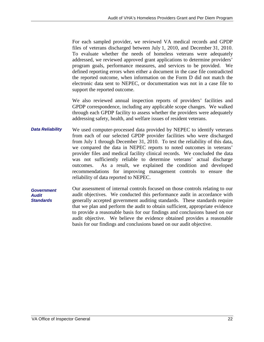For each sampled provider, we reviewed VA medical records and GPDP files of veterans discharged between July 1, 2010, and December 31, 2010. To evaluate whether the needs of homeless veterans were adequately addressed, we reviewed approved grant applications to determine providers' program goals, performance measures, and services to be provided. We defined reporting errors when either a document in the case file contradicted the reported outcome, when information on the Form D did not match the electronic data sent to NEPEC, or documentation was not in a case file to support the reported outcome.

We also reviewed annual inspection reports of providers' facilities and GPDP correspondence, including any applicable scope changes. We walked through each GPDP facility to assess whether the providers were adequately addressing safety, health, and welfare issues of resident veterans.

- *Data Reliability*  We used computer-processed data provided by NEPEC to identify veterans from each of our selected GPDP provider facilities who were discharged from July 1 through December 31, 2010. To test the reliability of this data, we compared the data in NEPEC reports to noted outcomes in veterans' provider files and medical facility clinical records. We concluded the data was not sufficiently reliable to determine veterans' actual discharge outcomes. As a result, we explained the condition and developed recommendations for improving management controls to ensure the reliability of data reported to NEPEC.
- *Government Audit Standards*  Our assessment of internal controls focused on those controls relating to our audit objectives. We conducted this performance audit in accordance with generally accepted government auditing standards. These standards require that we plan and perform the audit to obtain sufficient, appropriate evidence to provide a reasonable basis for our findings and conclusions based on our audit objective. We believe the evidence obtained provides a reasonable basis for our findings and conclusions based on our audit objective.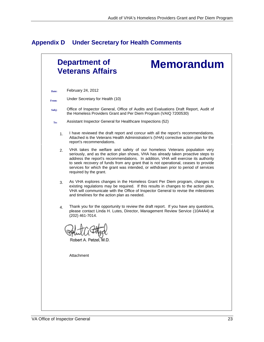## <span id="page-26-0"></span>**Appendix D Under Secretary for Health Comments**

|       |                | <b>Department of</b><br><b>Memorandum</b><br><b>Veterans Affairs</b>                                                                                                                                                                                                                                                                                                                                                                                         |
|-------|----------------|--------------------------------------------------------------------------------------------------------------------------------------------------------------------------------------------------------------------------------------------------------------------------------------------------------------------------------------------------------------------------------------------------------------------------------------------------------------|
| Date: |                | February 24, 2012                                                                                                                                                                                                                                                                                                                                                                                                                                            |
| From: |                | Under Secretary for Health (10)                                                                                                                                                                                                                                                                                                                                                                                                                              |
| Subj: |                | Office of Inspector General, Office of Audits and Evaluations Draft Report, Audit of<br>the Homeless Providers Grant and Per Diem Program (VAIQ 7200530)                                                                                                                                                                                                                                                                                                     |
| To:   |                | Assistant Inspector General for Healthcare Inspections (52)                                                                                                                                                                                                                                                                                                                                                                                                  |
|       | 1 <sub>1</sub> | I have reviewed the draft report and concur with all the report's recommendations.<br>Attached is the Veterans Health Administration's (VHA) corrective action plan for the<br>report's recommendations.                                                                                                                                                                                                                                                     |
|       | 2.             | VHA takes the welfare and safety of our homeless Veterans population very<br>seriously, and as the action plan shows, VHA has already taken proactive steps to<br>address the report's recommendations. In addition, VHA will exercise its authority<br>to seek recovery of funds from any grant that is not operational, ceases to provide<br>services for which the grant was intended, or withdrawn prior to period of services<br>required by the grant. |
|       | 3.             | As VHA explores changes in the Homeless Grant Per Diem program, changes to<br>existing regulations may be required. If this results in changes to the action plan,<br>VHA will communicate with the Office of Inspector General to revise the milestones<br>and timelines for the action plan as needed.                                                                                                                                                     |
|       | 4.             | Thank you for the opportunity to review the draft report. If you have any questions,<br>please contact Linda H. Lutes, Director, Management Review Service (10A4A4) at<br>(202) 461-7014.                                                                                                                                                                                                                                                                    |
|       |                | Robert A. Petzel.                                                                                                                                                                                                                                                                                                                                                                                                                                            |
|       |                | Attachment                                                                                                                                                                                                                                                                                                                                                                                                                                                   |
|       |                |                                                                                                                                                                                                                                                                                                                                                                                                                                                              |
|       |                |                                                                                                                                                                                                                                                                                                                                                                                                                                                              |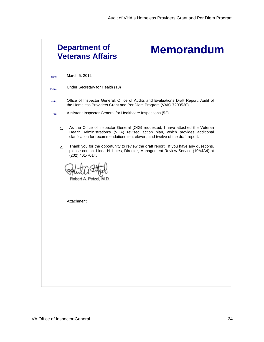|          | <b>Department of</b><br><b>Memorandum</b><br><b>Veterans Affairs</b>                                                                                                                                                                                                                                                                                                                                                                           |
|----------|------------------------------------------------------------------------------------------------------------------------------------------------------------------------------------------------------------------------------------------------------------------------------------------------------------------------------------------------------------------------------------------------------------------------------------------------|
| Date:    | March 5, 2012                                                                                                                                                                                                                                                                                                                                                                                                                                  |
| From:    | Under Secretary for Health (10)                                                                                                                                                                                                                                                                                                                                                                                                                |
| Subj:    | Office of Inspector General, Office of Audits and Evaluations Draft Report, Audit of<br>the Homeless Providers Grant and Per Diem Program (VAIQ 7200530)                                                                                                                                                                                                                                                                                       |
| To:      | Assistant Inspector General for Healthcare Inspections (52)                                                                                                                                                                                                                                                                                                                                                                                    |
| 1.<br>2. | As the Office of Inspector General (OIG) requested, I have attached the Veteran<br>Health Administration's (VHA) revised action plan, which provides additional<br>clarification for recommendations ten, eleven, and twelve of the draft report.<br>Thank you for the opportunity to review the draft report. If you have any questions,<br>please contact Linda H. Lutes, Director, Management Review Service (10A4A4) at<br>(202) 461-7014. |
|          | Attachment                                                                                                                                                                                                                                                                                                                                                                                                                                     |
|          |                                                                                                                                                                                                                                                                                                                                                                                                                                                |
|          |                                                                                                                                                                                                                                                                                                                                                                                                                                                |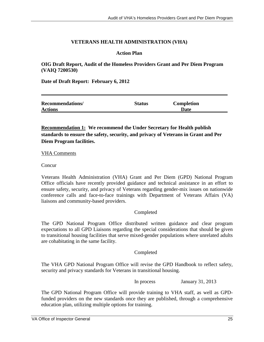#### **VETERANS HEALTH ADMINISTRATION (VHA)**

#### **Action Plan**

**OIG Draft Report, Audit of the Homeless Providers Grant and Per Diem Program (VAIQ 7200530)** 

**Date of Draft Report: February 6, 2012** 

| <b>Recommendations/</b> | <b>Status</b> | <b>Completion</b> |  |
|-------------------------|---------------|-------------------|--|
| <b>Actions</b>          |               | Date              |  |

**Recommendation 1: We recommend the Under Secretary for Health publish standards to ensure the safety, security, and privacy of Veterans in Grant and Per Diem Program facilities.** 

#### VHA Comments

Concur

Veterans Health Administration (VHA) Grant and Per Diem (GPD) National Program Office officials have recently provided guidance and technical assistance in an effort to ensure safety, security, and privacy of Veterans regarding gender-mix issues on nationwide conference calls and face-to-face trainings with Department of Veterans Affairs (VA) liaisons and community-based providers.

#### Completed

The GPD National Program Office distributed written guidance and clear program expectations to all GPD Liaisons regarding the special considerations that should be given to transitional housing facilities that serve mixed-gender populations where unrelated adults are cohabitating in the same facility.

#### Completed

The VHA GPD National Program Office will revise the GPD Handbook to reflect safety, security and privacy standards for Veterans in transitional housing.

In process January 31, 2013

The GPD National Program Office will provide training to VHA staff, as well as GPDfunded providers on the new standards once they are published, through a comprehensive education plan, utilizing multiple options for training.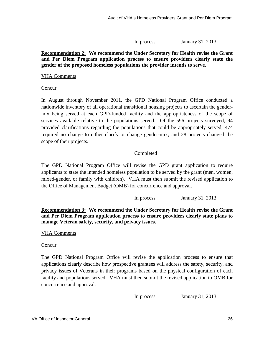In process January 31, 2013

#### **Recommendation 2: We recommend the Under Secretary for Health revise the Grant and Per Diem Program application process to ensure providers clearly state the gender of the proposed homeless populations the provider intends to serve.**

#### VHA Comments

**Concur** 

In August through November 2011, the GPD National Program Office conducted a nationwide inventory of all operational transitional housing projects to ascertain the gendermix being served at each GPD-funded facility and the appropriateness of the scope of services available relative to the populations served. Of the 596 projects surveyed, 94 provided clarifications regarding the populations that could be appropriately served; 474 required no change to either clarify or change gender-mix; and 28 projects changed the scope of their projects.

### Completed

The GPD National Program Office will revise the GPD grant application to require applicants to state the intended homeless population to be served by the grant (men, women, mixed-gender, or family with children). VHA must then submit the revised application to the Office of Management Budget (OMB) for concurrence and approval.

In process January 31, 2013

**Recommendation 3: We recommend the Under Secretary for Health revise the Grant and Per Diem Program application process to ensure providers clearly state plans to manage Veteran safety, security, and privacy issues.** 

VHA Comments

Concur

The GPD National Program Office will revise the application process to ensure that applications clearly describe how prospective grantees will address the safety, security, and privacy issues of Veterans in their programs based on the physical configuration of each facility and populations served. VHA must then submit the revised application to OMB for concurrence and approval.

In process January 31, 2013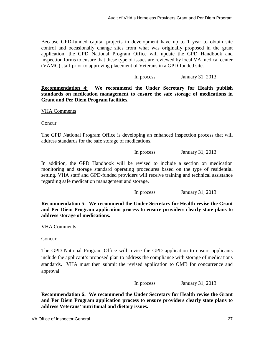Because GPD-funded capital projects in development have up to 1 year to obtain site control and occasionally change sites from what was originally proposed in the grant application, the GPD National Program Office will update the GPD Handbook and inspection forms to ensure that these type of issues are reviewed by local VA medical center (VAMC) staff prior to approving placement of Veterans in a GPD-funded site.

In process January 31, 2013

**Recommendation 4: We recommend the Under Secretary for Health publish standards on medication management to ensure the safe storage of medications in Grant and Per Diem Program facilities.** 

VHA Comments

**Concur** 

The GPD National Program Office is developing an enhanced inspection process that will address standards for the safe storage of medications.

In process January 31, 2013

In addition, the GPD Handbook will be revised to include a section on medication monitoring and storage standard operating procedures based on the type of residential setting. VHA staff and GPD-funded providers will receive training and technical assistance regarding safe medication management and storage.

In process January 31, 2013

**Recommendation 5: We recommend the Under Secretary for Health revise the Grant and Per Diem Program application process to ensure providers clearly state plans to address storage of medications.** 

VHA Comments

**Concur** 

The GPD National Program Office will revise the GPD application to ensure applicants include the applicant's proposed plan to address the compliance with storage of medications standards. VHA must then submit the revised application to OMB for concurrence and approval.

In process January 31, 2013

**Recommendation 6: We recommend the Under Secretary for Health revise the Grant and Per Diem Program application process to ensure providers clearly state plans to address Veterans' nutritional and dietary issues.**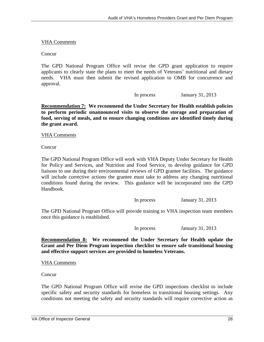#### VHA Comments

Concur

The GPD National Program Office will revise the GPD grant application to require applicants to clearly state the plans to meet the needs of Veterans' nutritional and dietary needs. VHA must then submit the revised application to OMB for concurrence and approval.

In process January 31, 2013

**Recommendation 7: We recommend the Under Secretary for Health establish policies to perform periodic unannounced visits to observe the storage and preparation of food, serving of meals, and to ensure changing conditions are identified timely during the grant award.** 

VHA Comments

Concur

The GPD National Program Office will work with VHA Deputy Under Secretary for Health for Policy and Services, and Nutrition and Food Service, to develop guidance for GPD liaisons to use during their environmental reviews of GPD grantee facilities. The guidance will include corrective actions the grantee must take to address any changing nutritional conditions found during the review. This guidance will be incorporated into the GPD Handbook.

In process January 31, 2013

The GPD National Program Office will provide training to VHA inspection team members once this guidance is established.

In process January 31, 2013

**Recommendation 8: We recommend the Under Secretary for Health update the Grant and Per Diem Program inspection checklist to ensure safe transitional housing and effective support services are provided to homeless Veterans.** 

VHA Comments

Concur

The GPD National Program Office will revise the GPD inspections checklist to include specific safety and security standards for homeless in transitional housing settings. Any conditions not meeting the safety and security standards will require corrective action as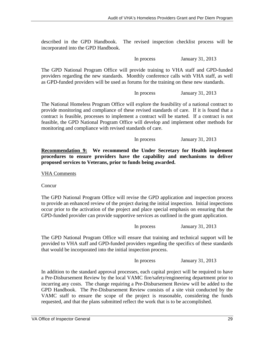described in the GPD Handbook. The revised inspection checklist process will be incorporated into the GPD Handbook.

In process January 31, 2013

The GPD National Program Office will provide training to VHA staff and GPD-funded providers regarding the new standards. Monthly conference calls with VHA staff, as well as GPD-funded providers will be used as forums for the training on these new standards.

In process January 31, 2013

The National Homeless Program Office will explore the feasibility of a national contract to provide monitoring and compliance of these revised standards of care. If it is found that a contract is feasible, processes to implement a contract will be started. If a contract is not feasible, the GPD National Program Office will develop and implement other methods for monitoring and compliance with revised standards of care.

In process January 31, 2013

**Recommendation 9: We recommend the Under Secretary for Health implement procedures to ensure providers have the capability and mechanisms to deliver proposed services to Veterans, prior to funds being awarded.** 

VHA Comments

Concur

The GPD National Program Office will revise the GPD application and inspection process to provide an enhanced review of the project during the initial inspection. Initial inspections occur prior to the activation of the project and place special emphasis on ensuring that the GPD-funded provider can provide supportive services as outlined in the grant application.

In process January 31, 2013

The GPD National Program Office will ensure that training and technical support will be provided to VHA staff and GPD-funded providers regarding the specifics of these standards that would be incorporated into the initial inspection process.

In process January 31, 2013

In addition to the standard approval processes, each capital project will be required to have a Pre-Disbursement Review by the local VAMC fire/safety/engineering department prior to incurring any costs. The change requiring a Pre-Disbursement Review will be added to the GPD Handbook. The Pre-Disbursement Review consists of a site visit conducted by the VAMC staff to ensure the scope of the project is reasonable, considering the funds requested, and that the plans submitted reflect the work that is to be accomplished.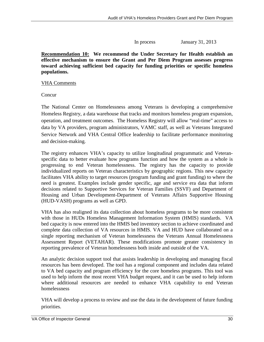In process January 31, 2013

**Recommendation 10: We recommend the Under Secretary for Health establish an effective mechanism to ensure the Grant and Per Diem Program assesses progress toward achieving sufficient bed capacity for funding priorities or specific homeless populations.** 

#### VHA Comments

**Concur** 

The National Center on Homelessness among Veterans is developing a comprehensive Homeless Registry, a data warehouse that tracks and monitors homeless program expansion, operation, and treatment outcomes. The Homeless Registry will allow "real-time" access to data by VA providers, program administrators, VAMC staff, as well as Veterans Integrated Service Network and VHA Central Office leadership to facilitate performance monitoring and decision-making.

The registry enhances VHA's capacity to utilize longitudinal programmatic and Veteranspecific data to better evaluate how programs function and how the system as a whole is progressing to end Veteran homelessness. The registry has the capacity to provide individualized reports on Veteran characteristics by geographic regions. This new capacity facilitates VHA ability to target resources (program funding and grant funding) to where the need is greatest. Examples include gender specific, age and service era data that inform decisions related to Supportive Services for Veteran Families (SSVF) and Department of Housing and Urban Development-Department of Veterans Affairs Supportive Housing (HUD-VASH) programs as well as GPD.

VHA has also realigned its data collection about homeless programs to be more consistent with those in HUDs Homeless Management Information System (HMIS) standards. VA bed capacity is now entered into the HMIS bed inventory section to achieve coordinated and complete data collection of VA resources in HMIS. VA and HUD have collaborated on a single reporting mechanism of Veteran homelessness the Veterans Annual Homelessness Assessment Report (VETAHAR). These modifications promote greater consistency in reporting prevalence of Veteran homelessness both inside and outside of the VA.

An analytic decision support tool that assists leadership in developing and managing fiscal resources has been developed. The tool has a regional component and includes data related to VA bed capacity and program efficiency for the core homeless programs. This tool was used to help inform the most recent VHA budget request, and it can be used to help inform where additional resources are needed to enhance VHA capability to end Veteran homelessness

VHA will develop a process to review and use the data in the development of future funding priorities.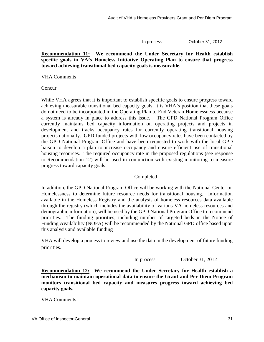In process October 31, 2012

#### **Recommendation 11: We recommend the Under Secretary for Health establish specific goals in VA's Homeless Initiative Operating Plan to ensure that progress toward achieving transitional bed capacity goals is measurable.**

#### VHA Comments

**Concur** 

While VHA agrees that it is important to establish specific goals to ensure progress toward achieving measurable transitional bed capacity goals, it is VHA's position that these goals do not need to be incorporated in the Operating Plan to End Veteran Homelessness because a system is already in place to address this issue. The GPD National Program Office currently maintains bed capacity information on operating projects and projects in development and tracks occupancy rates for currently operating transitional housing projects nationally. GPD-funded projects with low occupancy rates have been contacted by the GPD National Program Office and have been requested to work with the local GPD liaison to develop a plan to increase occupancy and ensure efficient use of transitional housing resources. The required occupancy rate in the proposed regulations (see response to Recommendation 12) will be used in conjunction with existing monitoring to measure progress toward capacity goals.

#### Completed

In addition, the GPD National Program Office will be working with the National Center on Homelessness to determine future resource needs for transitional housing. Information available in the Homeless Registry and the analysis of homeless resources data available through the registry (which includes the availability of various VA homeless resources and demographic information), will be used by the GPD National Program Office to recommend priorities. The funding priorities, including number of targeted beds in the Notice of Funding Availability (NOFA) will be recommended by the National GPD office based upon this analysis and available funding

VHA will develop a process to review and use the data in the development of future funding priorities.

In process October 31, 2012

**Recommendation 12: We recommend the Under Secretary for Health establish a mechanism to maintain operational data to ensure the Grant and Per Diem Program monitors transitional bed capacity and measures progress toward achieving bed capacity goals.** 

VHA Comments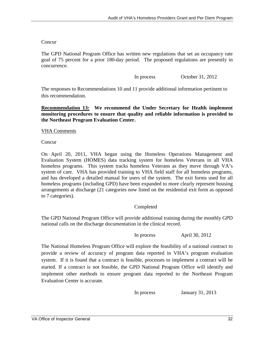#### Concur

The GPD National Program Office has written new regulations that set an occupancy rate goal of 75 percent for a prior 180-day period. The proposed regulations are presently in concurrence.

In process October 31, 2012

The responses to Recommendations 10 and 11 provide additional information pertinent to this recommendation.

**Recommendation 13: We recommend the Under Secretary for Health implement monitoring procedures to ensure that quality and reliable information is provided to the Northeast Program Evaluation Center.** 

#### VHA Comments

**Concur** 

On April 20, 2011, VHA began using the Homeless Operations Management and Evaluation System (HOMES) data tracking system for homeless Veterans in all VHA homeless programs. This system tracks homeless Veterans as they move through VA's system of care. VHA has provided training to VHA field staff for all homeless programs, and has developed a detailed manual for users of the system. The exit forms used for all homeless programs (including GPD) have been expanded to more clearly represent housing arrangements at discharge (21 categories now listed on the residential exit form as opposed to 7 categories).

#### Completed

The GPD National Program Office will provide additional training during the monthly GPD national calls on the discharge documentation in the clinical record.

In process April 30, 2012

The National Homeless Program Office will explore the feasibility of a national contract to provide a review of accuracy of program data reported in VHA's program evaluation system. If it is found that a contract is feasible, processes to implement a contract will be started. If a contract is not feasible, the GPD National Program Office will identify and implement other methods to ensure program data reported to the Northeast Program Evaluation Center is accurate.

In process January 31, 2013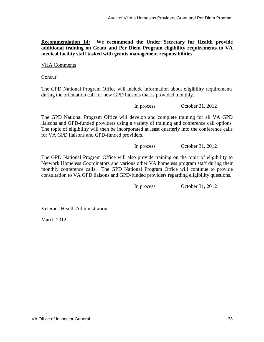**Recommendation 14: We recommend the Under Secretary for Health provide additional training on Grant and Per Diem Program eligibility requirements to VA medical facility staff tasked with grants management responsibilities.** 

VHA Comments

**Concur** 

The GPD National Program Office will include information about eligibility requirements during the orientation call for new GPD liaisons that is provided monthly.

In process October 31, 2012

The GPD National Program Office will develop and complete training for all VA GPD liaisons and GPD-funded providers using a variety of training and conference call options. The topic of eligibility will then be incorporated at least quarterly into the conference calls for VA GPD liaisons and GPD-funded providers.

In process October 31, 2012

The GPD National Program Office will also provide training on the topic of eligibility to Network Homeless Coordinators and various other VA homeless program staff during their monthly conference calls. The GPD National Program Office will continue to provide consultation to VA GPD liaisons and GPD-funded providers regarding eligibility questions.

In process October 31, 2012

Veterans Health Administration

March 2012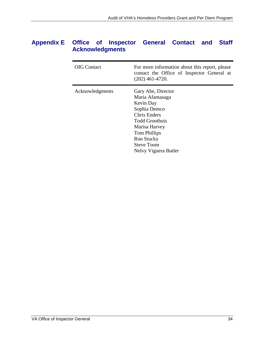## <span id="page-37-0"></span>**Appendix E Office of Inspector General Contact and Staff Acknowledgments**

| <b>OIG</b> Contact | For more information about this report, please<br>contact the Office of Inspector General at<br>$(202)$ 461-4720.                                                                                                     |
|--------------------|-----------------------------------------------------------------------------------------------------------------------------------------------------------------------------------------------------------------------|
| Acknowledgments    | Gary Abe, Director<br>Maria Afamasaga<br>Kevin Day<br>Sophia Demco<br><b>Chris Enders</b><br><b>Todd Groothuis</b><br>Marisa Harvey<br>Tom Phillips<br><b>Ron Stucky</b><br><b>Steve Toom</b><br>Nelvy Viguera Butler |